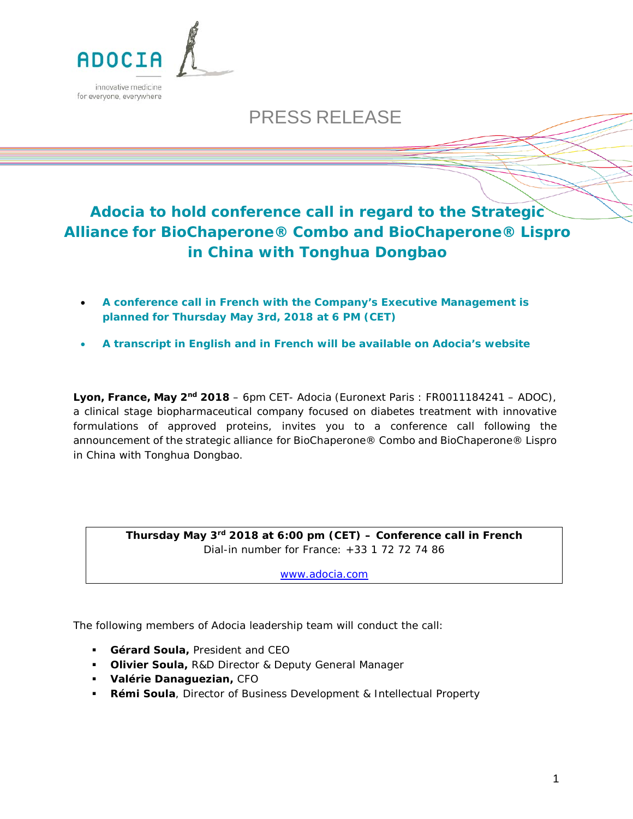

# PRESS RELEASE

## **Adocia to hold conference call in regard to the Strategic Alliance for BioChaperone® Combo and BioChaperone® Lispro in China with Tonghua Dongbao**

- **A conference call in French with the Company's Executive Management is planned for Thursday May 3rd, 2018 at 6 PM (CET)**
- **A transcript in English and in French will be available on Adocia's website**

**Lyon, France, May 2nd 2018** – 6pm CET- Adocia (Euronext Paris : FR0011184241 – ADOC), a clinical stage biopharmaceutical company focused on diabetes treatment with innovative formulations of approved proteins, invites you to a conference call following the announcement of the strategic alliance for BioChaperone® Combo and BioChaperone® Lispro in China with Tonghua Dongbao.

> **Thursday May 3rd 2018 at 6:00 pm (CET) – Conference call in French** Dial-in number for France: +33 1 72 72 74 86

> > [www.adocia.com](file://SERVDONPPM/Service%20Direction/Communication/Communication%20externe/Press%20release/2015/150310%20R%C3%A9sultats%20annuels%202014/www.adocia.com)

The following members of Adocia leadership team will conduct the call:

- **Gérard Soula,** President and CEO
- **Olivier Soula,** R&D Director & Deputy General Manager
- **Valérie Danaguezian,** CFO
- **Rémi Soula**, Director of Business Development & Intellectual Property